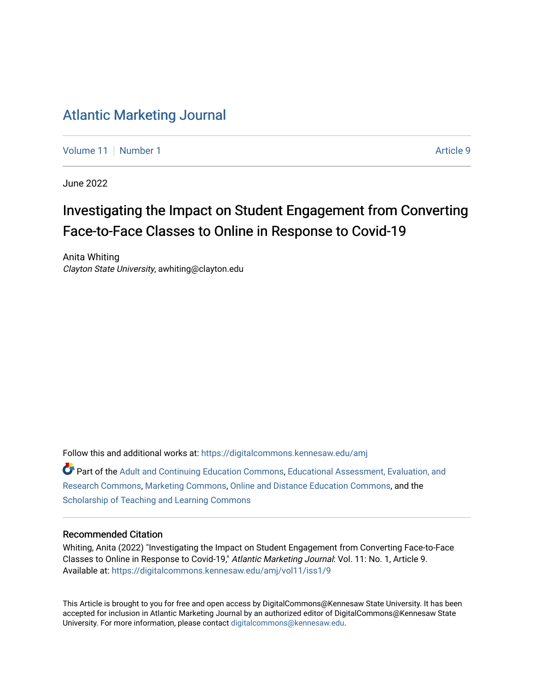## [Atlantic Marketing Journal](https://digitalcommons.kennesaw.edu/amj)

[Volume 11](https://digitalcommons.kennesaw.edu/amj/vol11) | [Number 1](https://digitalcommons.kennesaw.edu/amj/vol11/iss1) Article 9

June 2022

# Investigating the Impact on Student Engagement from Converting Face-to-Face Classes to Online in Response to Covid-19

Anita Whiting Clayton State University, awhiting@clayton.edu

Follow this and additional works at: [https://digitalcommons.kennesaw.edu/amj](https://digitalcommons.kennesaw.edu/amj?utm_source=digitalcommons.kennesaw.edu%2Famj%2Fvol11%2Fiss1%2F9&utm_medium=PDF&utm_campaign=PDFCoverPages) 

Part of the [Adult and Continuing Education Commons,](https://network.bepress.com/hgg/discipline/1375?utm_source=digitalcommons.kennesaw.edu%2Famj%2Fvol11%2Fiss1%2F9&utm_medium=PDF&utm_campaign=PDFCoverPages) [Educational Assessment, Evaluation, and](https://network.bepress.com/hgg/discipline/796?utm_source=digitalcommons.kennesaw.edu%2Famj%2Fvol11%2Fiss1%2F9&utm_medium=PDF&utm_campaign=PDFCoverPages)  [Research Commons,](https://network.bepress.com/hgg/discipline/796?utm_source=digitalcommons.kennesaw.edu%2Famj%2Fvol11%2Fiss1%2F9&utm_medium=PDF&utm_campaign=PDFCoverPages) [Marketing Commons,](https://network.bepress.com/hgg/discipline/638?utm_source=digitalcommons.kennesaw.edu%2Famj%2Fvol11%2Fiss1%2F9&utm_medium=PDF&utm_campaign=PDFCoverPages) [Online and Distance Education Commons,](https://network.bepress.com/hgg/discipline/1296?utm_source=digitalcommons.kennesaw.edu%2Famj%2Fvol11%2Fiss1%2F9&utm_medium=PDF&utm_campaign=PDFCoverPages) and the [Scholarship of Teaching and Learning Commons](https://network.bepress.com/hgg/discipline/1328?utm_source=digitalcommons.kennesaw.edu%2Famj%2Fvol11%2Fiss1%2F9&utm_medium=PDF&utm_campaign=PDFCoverPages) 

#### Recommended Citation

Whiting, Anita (2022) "Investigating the Impact on Student Engagement from Converting Face-to-Face Classes to Online in Response to Covid-19," Atlantic Marketing Journal: Vol. 11: No. 1, Article 9. Available at: [https://digitalcommons.kennesaw.edu/amj/vol11/iss1/9](https://digitalcommons.kennesaw.edu/amj/vol11/iss1/9?utm_source=digitalcommons.kennesaw.edu%2Famj%2Fvol11%2Fiss1%2F9&utm_medium=PDF&utm_campaign=PDFCoverPages) 

This Article is brought to you for free and open access by DigitalCommons@Kennesaw State University. It has been accepted for inclusion in Atlantic Marketing Journal by an authorized editor of DigitalCommons@Kennesaw State University. For more information, please contact [digitalcommons@kennesaw.edu.](mailto:digitalcommons@kennesaw.edu)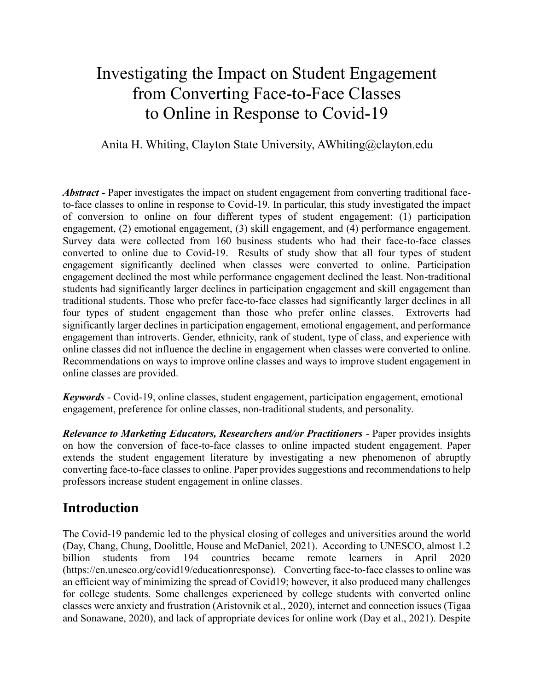# Investigating the Impact on Student Engagement from Converting Face-to-Face Classes to Online in Response to Covid-19

Anita H. Whiting, Clayton State University, AWhiting@clayton.edu

*Abstract -* Paper investigates the impact on student engagement from converting traditional faceto-face classes to online in response to Covid-19. In particular, this study investigated the impact of conversion to online on four different types of student engagement: (1) participation engagement, (2) emotional engagement, (3) skill engagement, and (4) performance engagement. Survey data were collected from 160 business students who had their face-to-face classes converted to online due to Covid-19. Results of study show that all four types of student engagement significantly declined when classes were converted to online. Participation engagement declined the most while performance engagement declined the least. Non-traditional students had significantly larger declines in participation engagement and skill engagement than traditional students. Those who prefer face-to-face classes had significantly larger declines in all four types of student engagement than those who prefer online classes. Extroverts had significantly larger declines in participation engagement, emotional engagement, and performance engagement than introverts. Gender, ethnicity, rank of student, type of class, and experience with online classes did not influence the decline in engagement when classes were converted to online. Recommendations on ways to improve online classes and ways to improve student engagement in online classes are provided.

*Keywords* - Covid-19, online classes, student engagement, participation engagement, emotional engagement, preference for online classes, non-traditional students, and personality.

*Relevance to Marketing Educators, Researchers and/or Practitioners* - Paper provides insights on how the conversion of face-to-face classes to online impacted student engagement. Paper extends the student engagement literature by investigating a new phenomenon of abruptly converting face-to-face classes to online. Paper provides suggestions and recommendations to help professors increase student engagement in online classes.

## **Introduction**

The Covid-19 pandemic led to the physical closing of colleges and universities around the world (Day, Chang, Chung, Doolittle, House and McDaniel, 2021). According to UNESCO, almost 1.2 billion students from 194 countries became remote learners in April 2020 (https://en.unesco.org/covid19/educationresponse). Converting face-to-face classes to online was an efficient way of minimizing the spread of Covid19; however, it also produced many challenges for college students. Some challenges experienced by college students with converted online classes were anxiety and frustration (Aristovnik et al., 2020), internet and connection issues (Tigaa and Sonawane, 2020), and lack of appropriate devices for online work (Day et al., 2021). Despite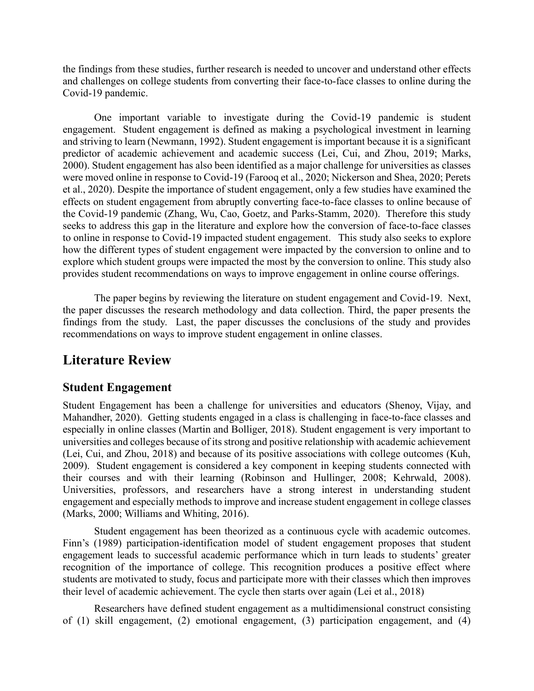the findings from these studies, further research is needed to uncover and understand other effects and challenges on college students from converting their face-to-face classes to online during the Covid-19 pandemic.

One important variable to investigate during the Covid-19 pandemic is student engagement. Student engagement is defined as making a psychological investment in learning and striving to learn (Newmann, 1992). Student engagement is important because it is a significant predictor of academic achievement and academic success (Lei, Cui, and Zhou, 2019; Marks, 2000). Student engagement has also been identified as a major challenge for universities as classes were moved online in response to Covid-19 (Farooq et al., 2020; Nickerson and Shea, 2020; Perets et al., 2020). Despite the importance of student engagement, only a few studies have examined the effects on student engagement from abruptly converting face-to-face classes to online because of the Covid-19 pandemic (Zhang, Wu, Cao, Goetz, and Parks-Stamm, 2020). Therefore this study seeks to address this gap in the literature and explore how the conversion of face-to-face classes to online in response to Covid-19 impacted student engagement. This study also seeks to explore how the different types of student engagement were impacted by the conversion to online and to explore which student groups were impacted the most by the conversion to online. This study also provides student recommendations on ways to improve engagement in online course offerings.

The paper begins by reviewing the literature on student engagement and Covid-19. Next, the paper discusses the research methodology and data collection. Third, the paper presents the findings from the study. Last, the paper discusses the conclusions of the study and provides recommendations on ways to improve student engagement in online classes.

### **Literature Review**

### **Student Engagement**

Student Engagement has been a challenge for universities and educators (Shenoy, Vijay, and Mahandher, 2020). Getting students engaged in a class is challenging in face-to-face classes and especially in online classes (Martin and Bolliger, 2018). Student engagement is very important to universities and colleges because of its strong and positive relationship with academic achievement (Lei, Cui, and Zhou, 2018) and because of its positive associations with college outcomes (Kuh, 2009). Student engagement is considered a key component in keeping students connected with their courses and with their learning (Robinson and Hullinger, 2008; Kehrwald, 2008). Universities, professors, and researchers have a strong interest in understanding student engagement and especially methods to improve and increase student engagement in college classes (Marks, 2000; Williams and Whiting, 2016).

Student engagement has been theorized as a continuous cycle with academic outcomes. Finn's (1989) participation-identification model of student engagement proposes that student engagement leads to successful academic performance which in turn leads to students' greater recognition of the importance of college. This recognition produces a positive effect where students are motivated to study, focus and participate more with their classes which then improves their level of academic achievement. The cycle then starts over again (Lei et al., 2018)

Researchers have defined student engagement as a multidimensional construct consisting of (1) skill engagement, (2) emotional engagement, (3) participation engagement, and (4)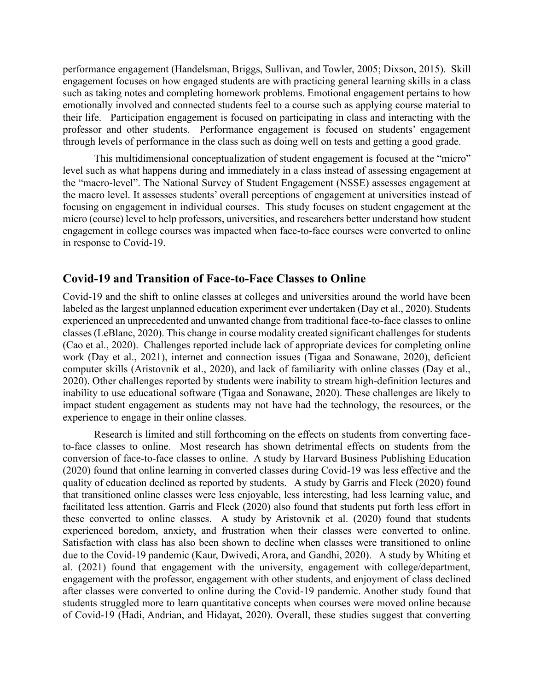performance engagement (Handelsman, Briggs, Sullivan, and Towler, 2005; Dixson, 2015). Skill engagement focuses on how engaged students are with practicing general learning skills in a class such as taking notes and completing homework problems. Emotional engagement pertains to how emotionally involved and connected students feel to a course such as applying course material to their life. Participation engagement is focused on participating in class and interacting with the professor and other students. Performance engagement is focused on students' engagement through levels of performance in the class such as doing well on tests and getting a good grade.

This multidimensional conceptualization of student engagement is focused at the "micro" level such as what happens during and immediately in a class instead of assessing engagement at the "macro-level". The National Survey of Student Engagement (NSSE) assesses engagement at the macro level. It assesses students' overall perceptions of engagement at universities instead of focusing on engagement in individual courses. This study focuses on student engagement at the micro (course) level to help professors, universities, and researchers better understand how student engagement in college courses was impacted when face-to-face courses were converted to online in response to Covid-19.

### **Covid-19 and Transition of Face-to-Face Classes to Online**

Covid-19 and the shift to online classes at colleges and universities around the world have been labeled as the largest unplanned education experiment ever undertaken (Day et al., 2020). Students experienced an unprecedented and unwanted change from traditional face-to-face classes to online classes (LeBlanc, 2020). This change in course modality created significant challenges for students (Cao et al., 2020). Challenges reported include lack of appropriate devices for completing online work (Day et al., 2021), internet and connection issues (Tigaa and Sonawane, 2020), deficient computer skills (Aristovnik et al., 2020), and lack of familiarity with online classes (Day et al., 2020). Other challenges reported by students were inability to stream high-definition lectures and inability to use educational software (Tigaa and Sonawane, 2020). These challenges are likely to impact student engagement as students may not have had the technology, the resources, or the experience to engage in their online classes.

Research is limited and still forthcoming on the effects on students from converting faceto-face classes to online. Most research has shown detrimental effects on students from the conversion of face-to-face classes to online. A study by Harvard Business Publishing Education (2020) found that online learning in converted classes during Covid-19 was less effective and the quality of education declined as reported by students. A study by Garris and Fleck (2020) found that transitioned online classes were less enjoyable, less interesting, had less learning value, and facilitated less attention. Garris and Fleck (2020) also found that students put forth less effort in these converted to online classes. A study by Aristovnik et al. (2020) found that students experienced boredom, anxiety, and frustration when their classes were converted to online. Satisfaction with class has also been shown to decline when classes were transitioned to online due to the Covid-19 pandemic (Kaur, Dwivedi, Arora, and Gandhi, 2020). A study by Whiting et al. (2021) found that engagement with the university, engagement with college/department, engagement with the professor, engagement with other students, and enjoyment of class declined after classes were converted to online during the Covid-19 pandemic. Another study found that students struggled more to learn quantitative concepts when courses were moved online because of Covid-19 (Hadi, Andrian, and Hidayat, 2020). Overall, these studies suggest that converting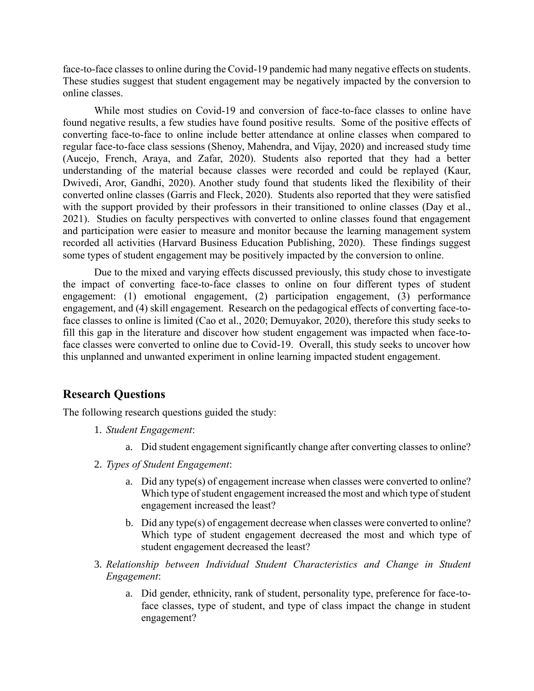face-to-face classes to online during the Covid-19 pandemic had many negative effects on students. These studies suggest that student engagement may be negatively impacted by the conversion to online classes.

While most studies on Covid-19 and conversion of face-to-face classes to online have found negative results, a few studies have found positive results. Some of the positive effects of converting face-to-face to online include better attendance at online classes when compared to regular face-to-face class sessions (Shenoy, Mahendra, and Vijay, 2020) and increased study time (Aucejo, French, Araya, and Zafar, 2020). Students also reported that they had a better understanding of the material because classes were recorded and could be replayed (Kaur, Dwivedi, Aror, Gandhi, 2020). Another study found that students liked the flexibility of their converted online classes (Garris and Fleck, 2020). Students also reported that they were satisfied with the support provided by their professors in their transitioned to online classes (Day et al., 2021). Studies on faculty perspectives with converted to online classes found that engagement and participation were easier to measure and monitor because the learning management system recorded all activities (Harvard Business Education Publishing, 2020). These findings suggest some types of student engagement may be positively impacted by the conversion to online.

Due to the mixed and varying effects discussed previously, this study chose to investigate the impact of converting face-to-face classes to online on four different types of student engagement: (1) emotional engagement, (2) participation engagement, (3) performance engagement, and (4) skill engagement. Research on the pedagogical effects of converting face-toface classes to online is limited (Cao et al., 2020; Demuyakor, 2020), therefore this study seeks to fill this gap in the literature and discover how student engagement was impacted when face-toface classes were converted to online due to Covid-19. Overall, this study seeks to uncover how this unplanned and unwanted experiment in online learning impacted student engagement.

### **Research Questions**

The following research questions guided the study:

- 1. *Student Engagement*:
	- a. Did student engagement significantly change after converting classes to online?
- 2. *Types of Student Engagement*:
	- a. Did any type(s) of engagement increase when classes were converted to online? Which type of student engagement increased the most and which type of student engagement increased the least?
	- b. Did any type(s) of engagement decrease when classes were converted to online? Which type of student engagement decreased the most and which type of student engagement decreased the least?
- 3. *Relationship between Individual Student Characteristics and Change in Student Engagement*:
	- a. Did gender, ethnicity, rank of student, personality type, preference for face-toface classes, type of student, and type of class impact the change in student engagement?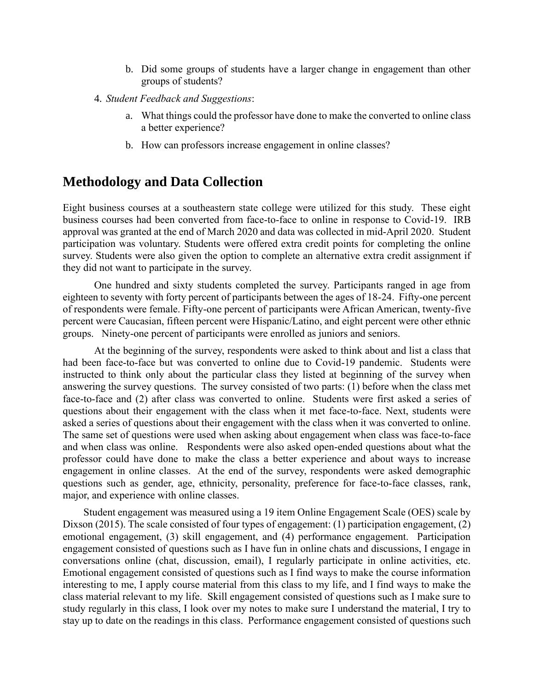- b. Did some groups of students have a larger change in engagement than other groups of students?
- 4. *Student Feedback and Suggestions*:
	- a. What things could the professor have done to make the converted to online class a better experience?
	- b. How can professors increase engagement in online classes?

### **Methodology and Data Collection**

Eight business courses at a southeastern state college were utilized for this study. These eight business courses had been converted from face-to-face to online in response to Covid-19. IRB approval was granted at the end of March 2020 and data was collected in mid-April 2020. Student participation was voluntary. Students were offered extra credit points for completing the online survey. Students were also given the option to complete an alternative extra credit assignment if they did not want to participate in the survey.

One hundred and sixty students completed the survey. Participants ranged in age from eighteen to seventy with forty percent of participants between the ages of 18-24. Fifty-one percent of respondents were female. Fifty-one percent of participants were African American, twenty-five percent were Caucasian, fifteen percent were Hispanic/Latino, and eight percent were other ethnic groups. Ninety-one percent of participants were enrolled as juniors and seniors.

At the beginning of the survey, respondents were asked to think about and list a class that had been face-to-face but was converted to online due to Covid-19 pandemic. Students were instructed to think only about the particular class they listed at beginning of the survey when answering the survey questions. The survey consisted of two parts: (1) before when the class met face-to-face and (2) after class was converted to online. Students were first asked a series of questions about their engagement with the class when it met face-to-face. Next, students were asked a series of questions about their engagement with the class when it was converted to online. The same set of questions were used when asking about engagement when class was face-to-face and when class was online. Respondents were also asked open-ended questions about what the professor could have done to make the class a better experience and about ways to increase engagement in online classes. At the end of the survey, respondents were asked demographic questions such as gender, age, ethnicity, personality, preference for face-to-face classes, rank, major, and experience with online classes.

Student engagement was measured using a 19 item Online Engagement Scale (OES) scale by Dixson (2015). The scale consisted of four types of engagement: (1) participation engagement, (2) emotional engagement, (3) skill engagement, and (4) performance engagement. Participation engagement consisted of questions such as I have fun in online chats and discussions, I engage in conversations online (chat, discussion, email), I regularly participate in online activities, etc. Emotional engagement consisted of questions such as I find ways to make the course information interesting to me, I apply course material from this class to my life, and I find ways to make the class material relevant to my life. Skill engagement consisted of questions such as I make sure to study regularly in this class, I look over my notes to make sure I understand the material, I try to stay up to date on the readings in this class. Performance engagement consisted of questions such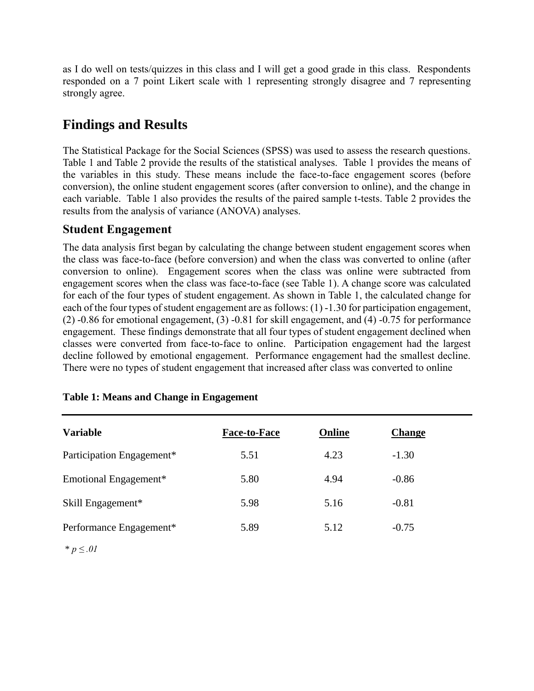as I do well on tests/quizzes in this class and I will get a good grade in this class. Respondents responded on a 7 point Likert scale with 1 representing strongly disagree and 7 representing strongly agree.

## **Findings and Results**

The Statistical Package for the Social Sciences (SPSS) was used to assess the research questions. Table 1 and Table 2 provide the results of the statistical analyses. Table 1 provides the means of the variables in this study. These means include the face-to-face engagement scores (before conversion), the online student engagement scores (after conversion to online), and the change in each variable. Table 1 also provides the results of the paired sample t-tests. Table 2 provides the results from the analysis of variance (ANOVA) analyses.

### **Student Engagement**

The data analysis first began by calculating the change between student engagement scores when the class was face-to-face (before conversion) and when the class was converted to online (after conversion to online). Engagement scores when the class was online were subtracted from engagement scores when the class was face-to-face (see Table 1). A change score was calculated for each of the four types of student engagement. As shown in Table 1, the calculated change for each of the four types of student engagement are as follows: (1) -1.30 for participation engagement, (2) -0.86 for emotional engagement, (3) -0.81 for skill engagement, and (4) -0.75 for performance engagement. These findings demonstrate that all four types of student engagement declined when classes were converted from face-to-face to online. Participation engagement had the largest decline followed by emotional engagement. Performance engagement had the smallest decline. There were no types of student engagement that increased after class was converted to online

| <b>Variable</b>           | <b>Face-to-Face</b> | Online | <b>Change</b> |
|---------------------------|---------------------|--------|---------------|
| Participation Engagement* | 5.51                | 4.23   | $-1.30$       |
| Emotional Engagement*     | 5.80                | 4.94   | $-0.86$       |
| Skill Engagement*         | 5.98                | 5.16   | $-0.81$       |
| Performance Engagement*   | 5.89                | 5.12   | $-0.75$       |

### **Table 1: Means and Change in Engagement**

\* *p ≤ .01*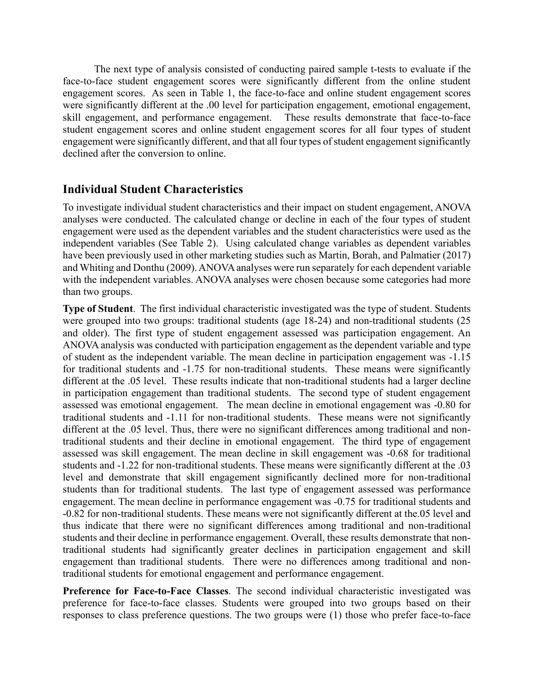The next type of analysis consisted of conducting paired sample t-tests to evaluate if the face-to-face student engagement scores were significantly different from the online student engagement scores. As seen in Table 1, the face-to-face and online student engagement scores were significantly different at the .00 level for participation engagement, emotional engagement, skill engagement, and performance engagement. These results demonstrate that face-to-face student engagement scores and online student engagement scores for all four types of student engagement were significantly different, and that all four types of student engagement significantly declined after the conversion to online.

### **Individual Student Characteristics**

To investigate individual student characteristics and their impact on student engagement, ANOVA analyses were conducted. The calculated change or decline in each of the four types of student engagement were used as the dependent variables and the student characteristics were used as the independent variables (See Table 2). Using calculated change variables as dependent variables have been previously used in other marketing studies such as Martin, Borah, and Palmatier (2017) and Whiting and Donthu (2009). ANOVA analyses were run separately for each dependent variable with the independent variables. ANOVA analyses were chosen because some categories had more than two groups.

**Type of Student**. The first individual characteristic investigated was the type of student. Students were grouped into two groups: traditional students (age 18-24) and non-traditional students (25 and older). The first type of student engagement assessed was participation engagement. An ANOVA analysis was conducted with participation engagement as the dependent variable and type of student as the independent variable. The mean decline in participation engagement was -1.15 for traditional students and -1.75 for non-traditional students. These means were significantly different at the .05 level. These results indicate that non-traditional students had a larger decline in participation engagement than traditional students. The second type of student engagement assessed was emotional engagement. The mean decline in emotional engagement was -0.80 for traditional students and -1.11 for non-traditional students. These means were not significantly different at the .05 level. Thus, there were no significant differences among traditional and nontraditional students and their decline in emotional engagement. The third type of engagement assessed was skill engagement. The mean decline in skill engagement was -0.68 for traditional students and -1.22 for non-traditional students. These means were significantly different at the .03 level and demonstrate that skill engagement significantly declined more for non-traditional students than for traditional students. The last type of engagement assessed was performance engagement. The mean decline in performance engagement was -0.75 for traditional students and -0.82 for non-traditional students. These means were not significantly different at the.05 level and thus indicate that there were no significant differences among traditional and non-traditional students and their decline in performance engagement. Overall, these results demonstrate that nontraditional students had significantly greater declines in participation engagement and skill engagement than traditional students. There were no differences among traditional and nontraditional students for emotional engagement and performance engagement.

**Preference for Face-to-Face Classes**. The second individual characteristic investigated was preference for face-to-face classes. Students were grouped into two groups based on their responses to class preference questions. The two groups were (1) those who prefer face-to-face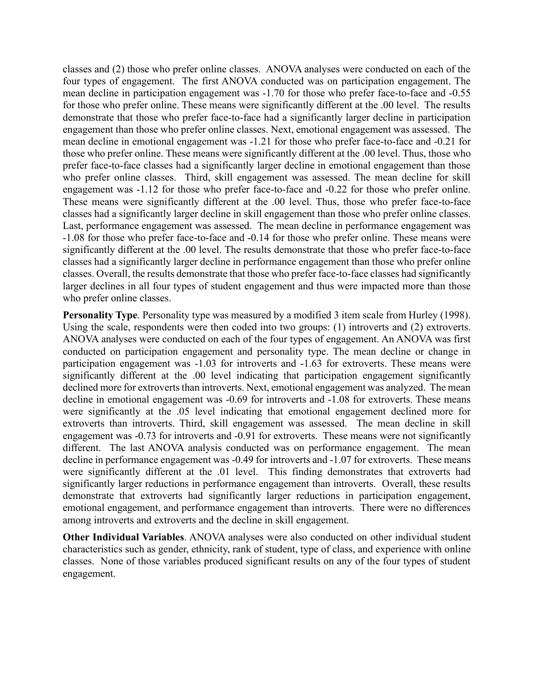classes and (2) those who prefer online classes. ANOVA analyses were conducted on each of the four types of engagement. The first ANOVA conducted was on participation engagement. The mean decline in participation engagement was -1.70 for those who prefer face-to-face and -0.55 for those who prefer online. These means were significantly different at the .00 level. The results demonstrate that those who prefer face-to-face had a significantly larger decline in participation engagement than those who prefer online classes. Next, emotional engagement was assessed. The mean decline in emotional engagement was -1.21 for those who prefer face-to-face and -0.21 for those who prefer online. These means were significantly different at the .00 level. Thus, those who prefer face-to-face classes had a significantly larger decline in emotional engagement than those who prefer online classes. Third, skill engagement was assessed. The mean decline for skill engagement was -1.12 for those who prefer face-to-face and -0.22 for those who prefer online. These means were significantly different at the .00 level. Thus, those who prefer face-to-face classes had a significantly larger decline in skill engagement than those who prefer online classes. Last, performance engagement was assessed. The mean decline in performance engagement was -1.08 for those who prefer face-to-face and -0.14 for those who prefer online. These means were significantly different at the .00 level. The results demonstrate that those who prefer face-to-face classes had a significantly larger decline in performance engagement than those who prefer online classes. Overall, the results demonstrate that those who prefer face-to-face classes had significantly larger declines in all four types of student engagement and thus were impacted more than those who prefer online classes.

**Personality Type**. Personality type was measured by a modified 3 item scale from Hurley (1998). Using the scale, respondents were then coded into two groups: (1) introverts and (2) extroverts. ANOVA analyses were conducted on each of the four types of engagement. An ANOVA was first conducted on participation engagement and personality type. The mean decline or change in participation engagement was -1.03 for introverts and -1.63 for extroverts. These means were significantly different at the .00 level indicating that participation engagement significantly declined more for extroverts than introverts. Next, emotional engagement was analyzed. The mean decline in emotional engagement was -0.69 for introverts and -1.08 for extroverts. These means were significantly at the .05 level indicating that emotional engagement declined more for extroverts than introverts. Third, skill engagement was assessed. The mean decline in skill engagement was -0.73 for introverts and -0.91 for extroverts. These means were not significantly different. The last ANOVA analysis conducted was on performance engagement. The mean decline in performance engagement was -0.49 for introverts and -1.07 for extroverts. These means were significantly different at the .01 level. This finding demonstrates that extroverts had significantly larger reductions in performance engagement than introverts. Overall, these results demonstrate that extroverts had significantly larger reductions in participation engagement, emotional engagement, and performance engagement than introverts. There were no differences among introverts and extroverts and the decline in skill engagement.

**Other Individual Variables**. ANOVA analyses were also conducted on other individual student characteristics such as gender, ethnicity, rank of student, type of class, and experience with online classes. None of those variables produced significant results on any of the four types of student engagement.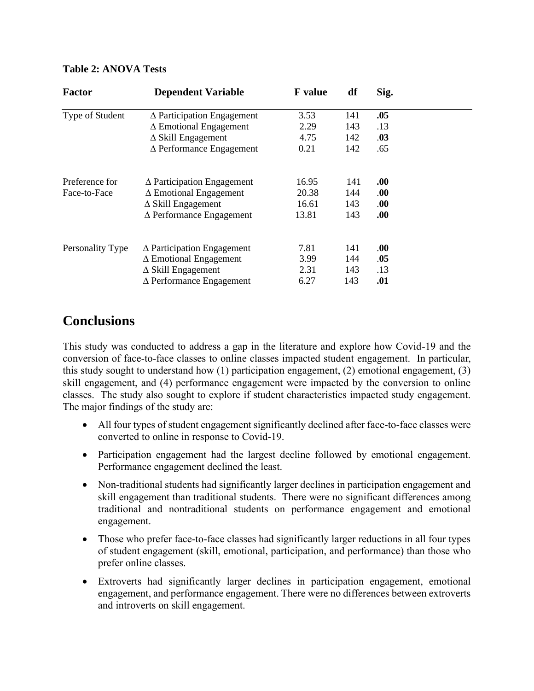#### **Table 2: ANOVA Tests**

| <b>Factor</b>    | <b>Dependent Variable</b>            | <b>F</b> value | df  | Sig. |  |
|------------------|--------------------------------------|----------------|-----|------|--|
| Type of Student  | $\Delta$ Participation Engagement    | 3.53           | 141 | .05  |  |
|                  | $\Delta$ Emotional Engagement        | 2.29           | 143 | .13  |  |
|                  | $\Delta$ Skill Engagement            | 4.75           | 142 | .03  |  |
|                  | $\Delta$ Performance Engagement      | 0.21           | 142 | .65  |  |
| Preference for   | $\triangle$ Participation Engagement | 16.95          | 141 | .00. |  |
| Face-to-Face     | $\Delta$ Emotional Engagement        | 20.38          | 144 | .00. |  |
|                  | $\triangle$ Skill Engagement         | 16.61          | 143 | .00. |  |
|                  | $\Delta$ Performance Engagement      | 13.81          | 143 | .00. |  |
| Personality Type | $\Delta$ Participation Engagement    | 7.81           | 141 | .00  |  |
|                  | $\Delta$ Emotional Engagement        | 3.99           | 144 | .05  |  |
|                  | $\triangle$ Skill Engagement         | 2.31           | 143 | .13  |  |
|                  | $\Delta$ Performance Engagement      | 6.27           | 143 | .01  |  |

## **Conclusions**

This study was conducted to address a gap in the literature and explore how Covid-19 and the conversion of face-to-face classes to online classes impacted student engagement. In particular, this study sought to understand how (1) participation engagement, (2) emotional engagement, (3) skill engagement, and (4) performance engagement were impacted by the conversion to online classes. The study also sought to explore if student characteristics impacted study engagement. The major findings of the study are:

- All four types of student engagement significantly declined after face-to-face classes were converted to online in response to Covid-19.
- Participation engagement had the largest decline followed by emotional engagement. Performance engagement declined the least.
- Non-traditional students had significantly larger declines in participation engagement and skill engagement than traditional students. There were no significant differences among traditional and nontraditional students on performance engagement and emotional engagement.
- Those who prefer face-to-face classes had significantly larger reductions in all four types of student engagement (skill, emotional, participation, and performance) than those who prefer online classes.
- Extroverts had significantly larger declines in participation engagement, emotional engagement, and performance engagement. There were no differences between extroverts and introverts on skill engagement.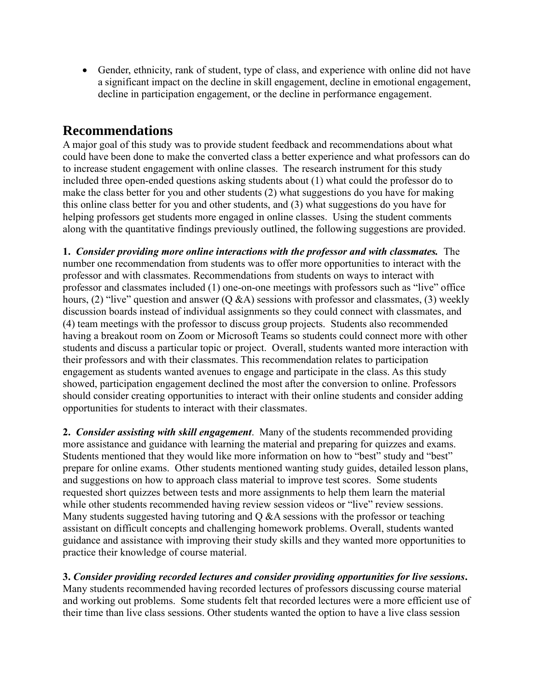• Gender, ethnicity, rank of student, type of class, and experience with online did not have a significant impact on the decline in skill engagement, decline in emotional engagement, decline in participation engagement, or the decline in performance engagement.

## **Recommendations**

A major goal of this study was to provide student feedback and recommendations about what could have been done to make the converted class a better experience and what professors can do to increase student engagement with online classes. The research instrument for this study included three open-ended questions asking students about (1) what could the professor do to make the class better for you and other students (2) what suggestions do you have for making this online class better for you and other students, and (3) what suggestions do you have for helping professors get students more engaged in online classes. Using the student comments along with the quantitative findings previously outlined, the following suggestions are provided.

**1.** *Consider providing more online interactions with the professor and with classmates.* The number one recommendation from students was to offer more opportunities to interact with the professor and with classmates. Recommendations from students on ways to interact with professor and classmates included (1) one-on-one meetings with professors such as "live" office hours, (2) "live" question and answer  $(Q \& A)$  sessions with professor and classmates, (3) weekly discussion boards instead of individual assignments so they could connect with classmates, and (4) team meetings with the professor to discuss group projects. Students also recommended having a breakout room on Zoom or Microsoft Teams so students could connect more with other students and discuss a particular topic or project. Overall, students wanted more interaction with their professors and with their classmates. This recommendation relates to participation engagement as students wanted avenues to engage and participate in the class. As this study showed, participation engagement declined the most after the conversion to online. Professors should consider creating opportunities to interact with their online students and consider adding opportunities for students to interact with their classmates.

**2.** *Consider assisting with skill engagement*. Many of the students recommended providing more assistance and guidance with learning the material and preparing for quizzes and exams. Students mentioned that they would like more information on how to "best" study and "best" prepare for online exams. Other students mentioned wanting study guides, detailed lesson plans, and suggestions on how to approach class material to improve test scores. Some students requested short quizzes between tests and more assignments to help them learn the material while other students recommended having review session videos or "live" review sessions. Many students suggested having tutoring and Q &A sessions with the professor or teaching assistant on difficult concepts and challenging homework problems. Overall, students wanted guidance and assistance with improving their study skills and they wanted more opportunities to practice their knowledge of course material.

**3.** *Consider providing recorded lectures and consider providing opportunities for live sessions***.** Many students recommended having recorded lectures of professors discussing course material and working out problems. Some students felt that recorded lectures were a more efficient use of their time than live class sessions. Other students wanted the option to have a live class session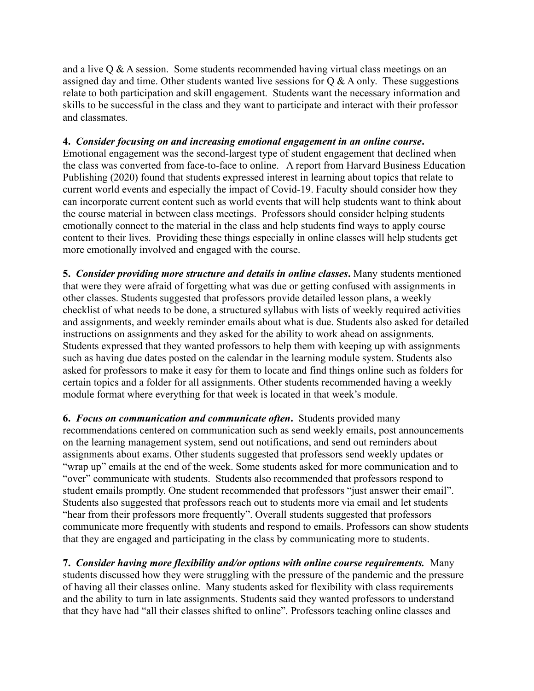and a live  $\overline{Q} \& \overline{A}$  session. Some students recommended having virtual class meetings on an assigned day and time. Other students wanted live sessions for  $Q & A$  only. These suggestions relate to both participation and skill engagement. Students want the necessary information and skills to be successful in the class and they want to participate and interact with their professor and classmates.

### **4.** *Consider focusing on and increasing emotional engagement in an online course***.**

Emotional engagement was the second-largest type of student engagement that declined when the class was converted from face-to-face to online. A report from Harvard Business Education Publishing (2020) found that students expressed interest in learning about topics that relate to current world events and especially the impact of Covid-19. Faculty should consider how they can incorporate current content such as world events that will help students want to think about the course material in between class meetings. Professors should consider helping students emotionally connect to the material in the class and help students find ways to apply course content to their lives. Providing these things especially in online classes will help students get more emotionally involved and engaged with the course.

**5.** *Consider providing more structure and details in online classes***.** Many students mentioned that were they were afraid of forgetting what was due or getting confused with assignments in other classes. Students suggested that professors provide detailed lesson plans, a weekly checklist of what needs to be done, a structured syllabus with lists of weekly required activities and assignments, and weekly reminder emails about what is due. Students also asked for detailed instructions on assignments and they asked for the ability to work ahead on assignments. Students expressed that they wanted professors to help them with keeping up with assignments such as having due dates posted on the calendar in the learning module system. Students also asked for professors to make it easy for them to locate and find things online such as folders for certain topics and a folder for all assignments. Other students recommended having a weekly module format where everything for that week is located in that week's module.

**6.** *Focus on communication and communicate often***.** Students provided many recommendations centered on communication such as send weekly emails, post announcements on the learning management system, send out notifications, and send out reminders about assignments about exams. Other students suggested that professors send weekly updates or "wrap up" emails at the end of the week. Some students asked for more communication and to "over" communicate with students. Students also recommended that professors respond to student emails promptly. One student recommended that professors "just answer their email". Students also suggested that professors reach out to students more via email and let students "hear from their professors more frequently". Overall students suggested that professors communicate more frequently with students and respond to emails. Professors can show students that they are engaged and participating in the class by communicating more to students.

**7.** *Consider having more flexibility and/or options with online course requirements.* Many students discussed how they were struggling with the pressure of the pandemic and the pressure of having all their classes online. Many students asked for flexibility with class requirements and the ability to turn in late assignments. Students said they wanted professors to understand that they have had "all their classes shifted to online". Professors teaching online classes and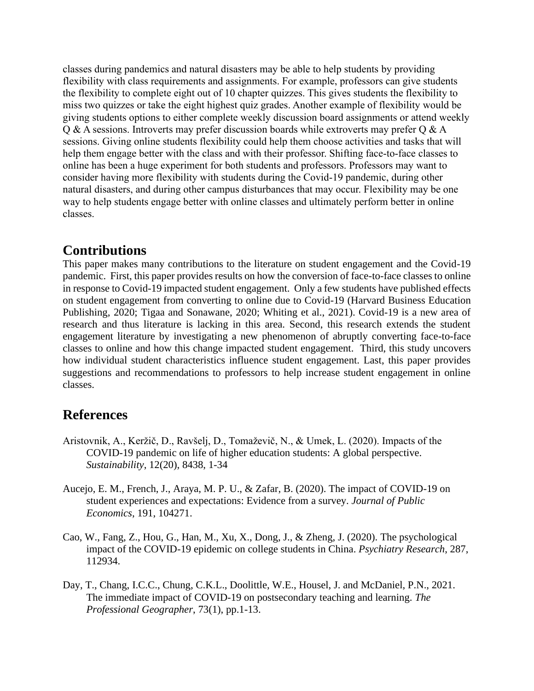classes during pandemics and natural disasters may be able to help students by providing flexibility with class requirements and assignments. For example, professors can give students the flexibility to complete eight out of 10 chapter quizzes. This gives students the flexibility to miss two quizzes or take the eight highest quiz grades. Another example of flexibility would be giving students options to either complete weekly discussion board assignments or attend weekly Q & A sessions. Introverts may prefer discussion boards while extroverts may prefer Q & A sessions. Giving online students flexibility could help them choose activities and tasks that will help them engage better with the class and with their professor. Shifting face-to-face classes to online has been a huge experiment for both students and professors. Professors may want to consider having more flexibility with students during the Covid-19 pandemic, during other natural disasters, and during other campus disturbances that may occur. Flexibility may be one way to help students engage better with online classes and ultimately perform better in online classes.

## **Contributions**

This paper makes many contributions to the literature on student engagement and the Covid-19 pandemic. First, this paper provides results on how the conversion of face-to-face classes to online in response to Covid-19 impacted student engagement. Only a few students have published effects on student engagement from converting to online due to Covid-19 (Harvard Business Education Publishing, 2020; Tigaa and Sonawane, 2020; Whiting et al., 2021). Covid-19 is a new area of research and thus literature is lacking in this area. Second, this research extends the student engagement literature by investigating a new phenomenon of abruptly converting face-to-face classes to online and how this change impacted student engagement. Third, this study uncovers how individual student characteristics influence student engagement. Last, this paper provides suggestions and recommendations to professors to help increase student engagement in online classes.

## **References**

- Aristovnik, A., Keržič, D., Ravšelj, D., Tomaževič, N., & Umek, L. (2020). Impacts of the COVID-19 pandemic on life of higher education students: A global perspective. *Sustainability*, 12(20), 8438, 1-34
- Aucejo, E. M., French, J., Araya, M. P. U., & Zafar, B. (2020). The impact of COVID-19 on student experiences and expectations: Evidence from a survey. *Journal of Public Economics*, 191, 104271.
- Cao, W., Fang, Z., Hou, G., Han, M., Xu, X., Dong, J., & Zheng, J. (2020). The psychological impact of the COVID-19 epidemic on college students in China. *Psychiatry Research*, 287, 112934.
- Day, T., Chang, I.C.C., Chung, C.K.L., Doolittle, W.E., Housel, J. and McDaniel, P.N., 2021. The immediate impact of COVID-19 on postsecondary teaching and learning. *The Professional Geographer*, 73(1), pp.1-13.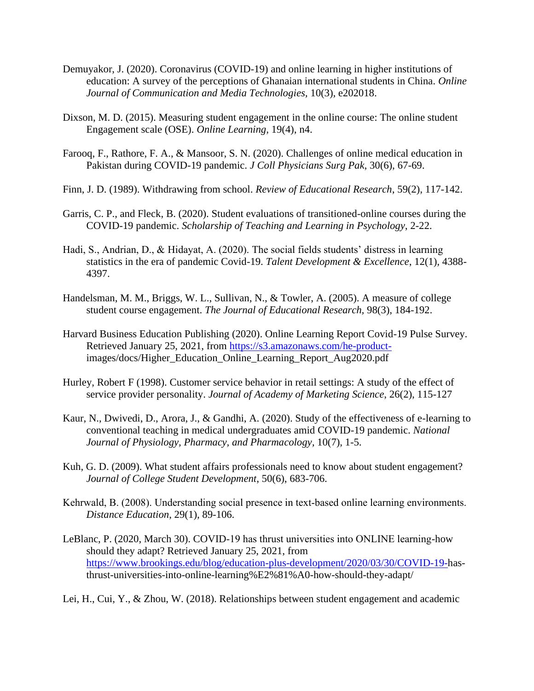- Demuyakor, J. (2020). Coronavirus (COVID-19) and online learning in higher institutions of education: A survey of the perceptions of Ghanaian international students in China. *Online Journal of Communication and Media Technologies,* 10(3), e202018.
- Dixson, M. D. (2015). Measuring student engagement in the online course: The online student Engagement scale (OSE). *Online Learning*, 19(4), n4.
- Farooq, F., Rathore, F. A., & Mansoor, S. N. (2020). Challenges of online medical education in Pakistan during COVID-19 pandemic. *J Coll Physicians Surg Pak*, 30(6), 67-69.
- Finn, J. D. (1989). Withdrawing from school. *Review of Educational Research*, 59(2), 117-142.
- Garris, C. P., and Fleck, B. (2020). Student evaluations of transitioned-online courses during the COVID-19 pandemic. *Scholarship of Teaching and Learning in Psychology*, 2-22.
- Hadi, S., Andrian, D., & Hidayat, A. (2020). The social fields students' distress in learning statistics in the era of pandemic Covid-19. *Talent Development & Excellence*, 12(1), 4388- 4397.
- Handelsman, M. M., Briggs, W. L., Sullivan, N., & Towler, A. (2005). A measure of college student course engagement. *The Journal of Educational Research,* 98(3), 184-192.
- Harvard Business Education Publishing (2020). Online Learning Report Covid-19 Pulse Survey. Retrieved January 25, 2021, from [https://s3.amazonaws.com/he-product](https://s3.amazonaws.com/he-product-)images/docs/Higher\_Education\_Online\_Learning\_Report\_Aug2020.pdf
- Hurley, Robert F (1998). Customer service behavior in retail settings: A study of the effect of service provider personality. *Journal of Academy of Marketing Science*, 26(2), 115-127
- Kaur, N., Dwivedi, D., Arora, J., & Gandhi, A. (2020). Study of the effectiveness of e-learning to conventional teaching in medical undergraduates amid COVID-19 pandemic. *National Journal of Physiology, Pharmacy, and Pharmacology,* 10(7), 1-5.
- Kuh, G. D. (2009). What student affairs professionals need to know about student engagement? *Journal of College Student Development*, 50(6), 683-706.
- Kehrwald, B. (2008). Understanding social presence in text-based online learning environments. *Distance Education*, 29(1), 89-106.
- LeBlanc, P. (2020, March 30). COVID-19 has thrust universities into ONLINE learning-how should they adapt? Retrieved January 25, 2021, from [https://www.brookings.edu/blog/education-plus-development/2020/03/30/COVID-19-h](https://www.brookings.edu/blog/education-plus-development/2020/03/30/COVID-19-)asthrust-universities-into-online-learning%E2%81%A0-how-should-they-adapt/

Lei, H., Cui, Y., & Zhou, W. (2018). Relationships between student engagement and academic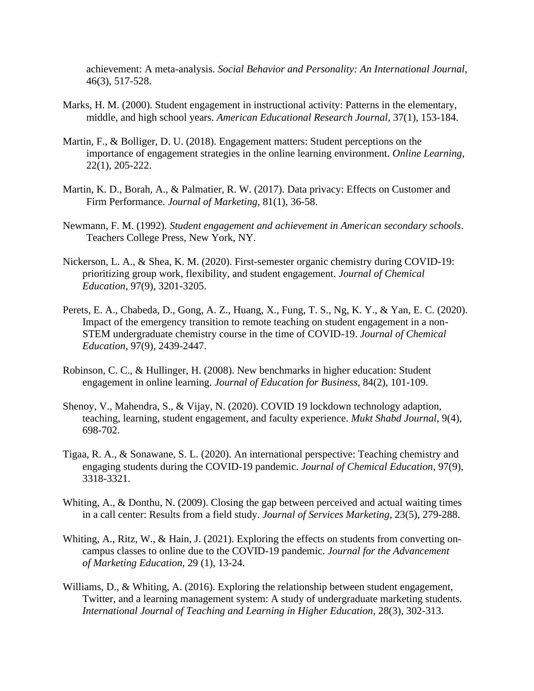achievement: A meta-analysis. *Social Behavior and Personality: An International Journal*, 46(3), 517-528.

- Marks, H. M. (2000). Student engagement in instructional activity: Patterns in the elementary, middle, and high school years. *American Educational Research Journal,* 37(1), 153-184.
- Martin, F., & Bolliger, D. U. (2018). Engagement matters: Student perceptions on the importance of engagement strategies in the online learning environment. *Online Learning*, 22(1), 205-222.
- Martin, K. D., Borah, A., & Palmatier, R. W. (2017). Data privacy: Effects on Customer and Firm Performance. *Journal of Marketing*, 81(1), 36-58.
- Newmann, F. M. (1992). *Student engagement and achievement in American secondary schools*. Teachers College Press, New York, NY.
- Nickerson, L. A., & Shea, K. M. (2020). First-semester organic chemistry during COVID-19: prioritizing group work, flexibility, and student engagement. *Journal of Chemical Education*, 97(9), 3201-3205.
- Perets, E. A., Chabeda, D., Gong, A. Z., Huang, X., Fung, T. S., Ng, K. Y., & Yan, E. C. (2020). Impact of the emergency transition to remote teaching on student engagement in a non-STEM undergraduate chemistry course in the time of COVID-19. *Journal of Chemical Education*, 97(9), 2439-2447.
- Robinson, C. C., & Hullinger, H. (2008). New benchmarks in higher education: Student engagement in online learning. *Journal of Education for Business*, 84(2), 101-109.
- Shenoy, V., Mahendra, S., & Vijay, N. (2020). COVID 19 lockdown technology adaption, teaching, learning, student engagement, and faculty experience. *Mukt Shabd Journal*, 9(4), 698-702.
- Tigaa, R. A., & Sonawane, S. L. (2020). An international perspective: Teaching chemistry and engaging students during the COVID-19 pandemic. *Journal of Chemical Education*, 97(9), 3318-3321.
- Whiting, A., & Donthu, N. (2009). Closing the gap between perceived and actual waiting times in a call center: Results from a field study. *Journal of Services Marketing*, 23(5), 279-288.
- Whiting, A., Ritz, W., & Hain, J. (2021). Exploring the effects on students from converting oncampus classes to online due to the COVID-19 pandemic. *Journal for the Advancement of Marketing Education*, 29 (1), 13-24.
- Williams, D., & Whiting, A. (2016). Exploring the relationship between student engagement, Twitter, and a learning management system: A study of undergraduate marketing students. *International Journal of Teaching and Learning in Higher Education,* 28(3), 302-313.